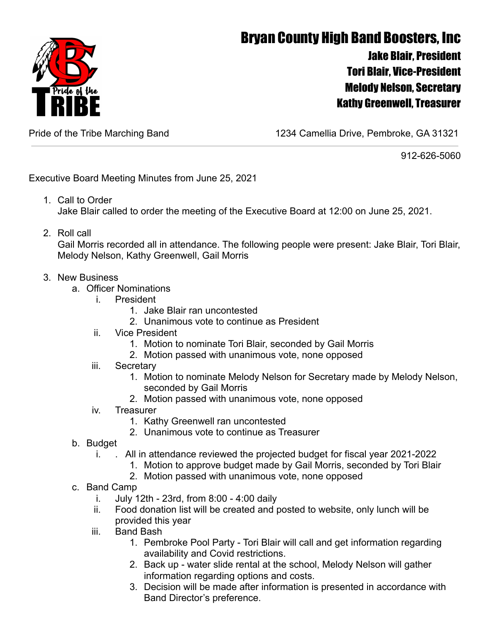

## Bryan County High Band Boosters, Inc Jake Blair, President Tori Blair, Vice-President Melody Nelson, Secretary Kathy Greenwell, Treasurer

Pride of the Tribe Marching Band 1234 Camellia Drive, Pembroke, GA 31321

912-626-5060

Executive Board Meeting Minutes from June 25, 2021

- 1. Call to Order Jake Blair called to order the meeting of the Executive Board at 12:00 on June 25, 2021.
- 2. Roll call

Gail Morris recorded all in attendance. The following people were present: Jake Blair, Tori Blair, Melody Nelson, Kathy Greenwell, Gail Morris

- 3. New Business
	- a. Officer Nominations
		- i. President
			- 1. Jake Blair ran uncontested
			- 2. Unanimous vote to continue as President
		- ii. Vice President
			- 1. Motion to nominate Tori Blair, seconded by Gail Morris
			- 2. Motion passed with unanimous vote, none opposed
		- iii. Secretary
			- 1. Motion to nominate Melody Nelson for Secretary made by Melody Nelson, seconded by Gail Morris
			- 2. Motion passed with unanimous vote, none opposed
		- iv. Treasurer
			- 1. Kathy Greenwell ran uncontested
			- 2. Unanimous vote to continue as Treasurer
	- b. Budget
		- i. . All in attendance reviewed the projected budget for fiscal year 2021-2022
			- 1. Motion to approve budget made by Gail Morris, seconded by Tori Blair
			- 2. Motion passed with unanimous vote, none opposed
	- c. Band Camp
		- i. July 12th 23rd, from 8:00 4:00 daily
		- ii. Food donation list will be created and posted to website, only lunch will be provided this year
		- iii. Band Bash
			- 1. Pembroke Pool Party Tori Blair will call and get information regarding availability and Covid restrictions.
			- 2. Back up water slide rental at the school, Melody Nelson will gather information regarding options and costs.
			- 3. Decision will be made after information is presented in accordance with Band Director's preference.